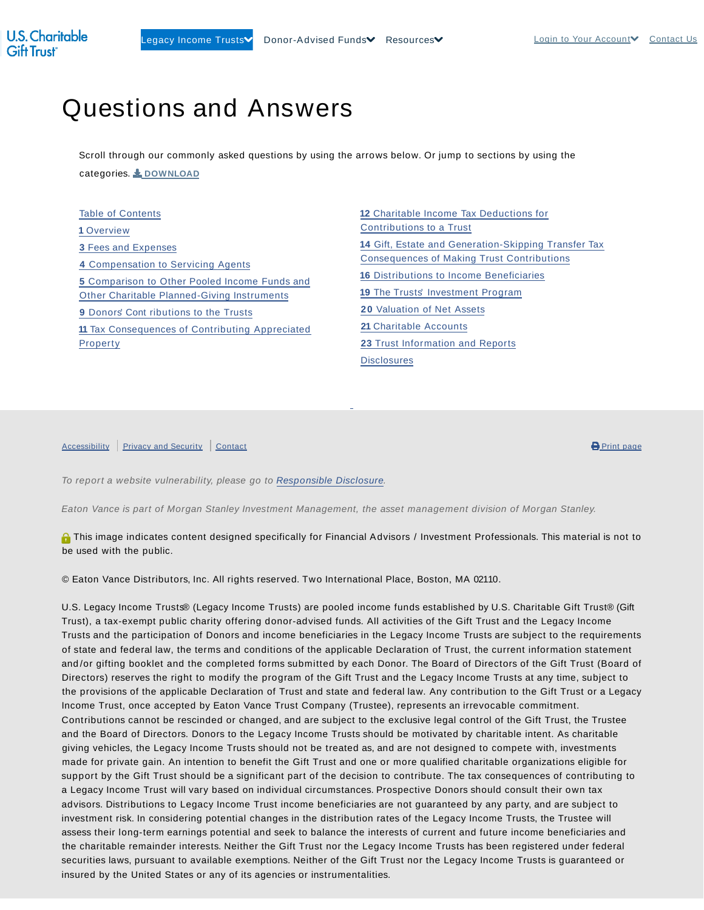## Questions and Answers

Scroll through our commonly asked questions by using the arrows below. Or jump to sections by using the categories. **L** DOWNLOAD

Table of Contents **1** Overview **3** Fees and Expenses **4** Compensation to Servicing Agents **5** Comparison to Other Pooled Income Funds and Other Charitable Planned-Giving Instruments **9** Donors' Cont ributions to the Trusts **11** Tax Consequences of Contributing Appreciated Property

 Charitable Income Tax Deductions for Contributions to a Trust Gift, Estate and Generation-Skipping Transfer Tax Consequences of Making Trust Contributions Distributions to Income Beneficiaries The Trusts' Investment Program Valuation of Net Assets Charitable Accounts Trust Information and Reports **Disclosures** 

Accessibility Privacy and Security Contact **Product Priori Contact 1999** Print page

To report a website vulnerability, please go to Responsible Disclosure.

Eaton Vance is part of Morgan Stanley Investment Management, the asset management division of Morgan Stanley.

**O** This image indicates content designed specifically for Financial Advisors / Investment Professionals. This material is not to be used with the public.

© Eaton Vance Distributors, Inc. All rights reserved. Two International Place, Boston, MA 02110.

U.S. Legacy Income Trusts® (Legacy Income Trusts) are pooled income funds established by U.S. Charitable Gift Trust® (Gift Trust), a tax-exempt public charity offering donor-advised funds. All activities of the Gift Trust and the Legacy Income Trusts and the participation of Donors and income beneficiaries in the Legacy Income Trusts are subject to the requirements of state and federal law, the terms and conditions of the applicable Declaration of Trust, the current information statement and /or gifting booklet and the completed forms submitted by each Donor. The Board of Directors of the Gift Trust (Board of Directors) reserves the right to modify the program of the Gift Trust and the Legacy Income Trusts at any time, subject to the provisions of the applicable Declaration of Trust and state and federal law. Any contribution to the Gift Trust or a Legacy Income Trust, once accepted by Eaton Vance Trust Company (Trustee), represents an irrevocable commitment. Contributions cannot be rescinded or changed, and are subject to the exclusive legal control of the Gift Trust, the Trustee and the Board of Directors. Donors to the Legacy Income Trusts should be motivated by charitable intent. As charitable giving vehicles, the Legacy Income Trusts should not be treated as, and are not designed to compete with, investments made for private gain. An intention to benefit the Gift Trust and one or more qualified charitable organizations eligible for support by the Gift Trust should be a significant part of the decision to contribute. The tax consequences of contributing to a Legacy Income Trust will vary based on individual circumstances. Prospective Donors should consult their own tax advisors. Distributions to Legacy Income Trust income beneficiaries are not guaranteed by any party, and are subject to investment risk. In considering potential changes in the distribution rates of the Legacy Income Trusts, the Trustee will assess their long-term earnings potential and seek to balance the interests of current and future income beneficiaries and the charitable remainder interests. Neither the Gift Trust nor the Legacy Income Trusts has been registered under federal securities laws, pursuant to available exemptions. Neither of the Gift Trust nor the Legacy Income Trusts is guaranteed or insured by the United States or any of its agencies or instrumentalities.